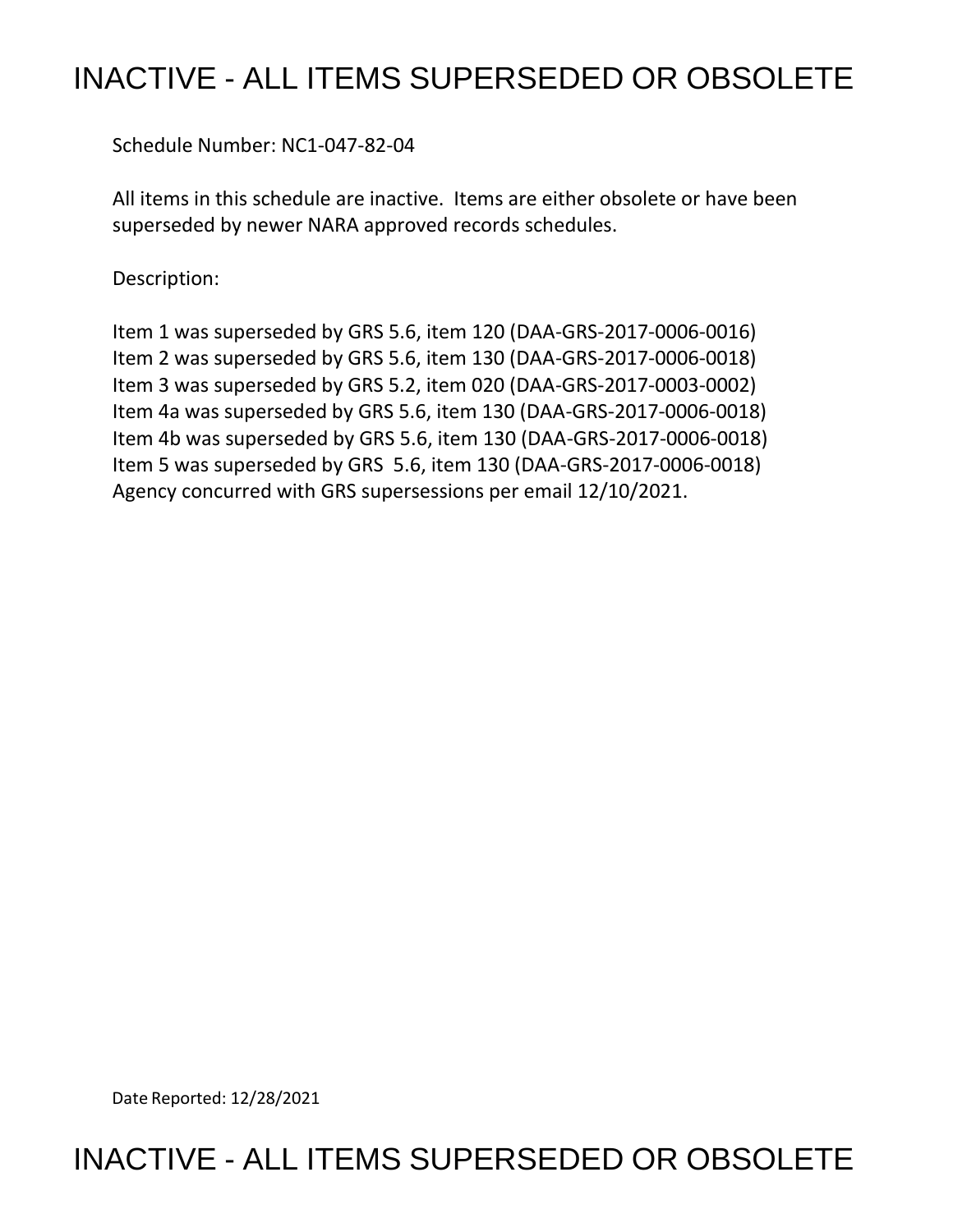## INACTIVE - ALL ITEMS SUPERSEDED OR OBSOLETE

Schedule Number: NC1-047-82-04

 All items in this schedule are inactive. Items are either obsolete or have been superseded by newer NARA approved records schedules.

Description:

 Item 1 was superseded by GRS 5.6, item 120 (DAA-GRS-2017-0006-0016) Item 2 was superseded by GRS 5.6, item 130 (DAA-GRS-2017-0006-0018) Item 3 was superseded by GRS 5.2, item 020 (DAA-GRS-2017-0003-0002) Item 4a was superseded by GRS 5.6, item 130 (DAA-GRS-2017-0006-0018) Item 4b was superseded by GRS 5.6, item 130 (DAA-GRS-2017-0006-0018) Item 5 was superseded by GRS 5.6, item 130 (DAA-GRS-2017-0006-0018) Agency concurred with GRS supersessions per email 12/10/2021.

Date Reported: 12/28/2021

INACTIVE - ALL ITEMS SUPERSEDED OR OBSOLETE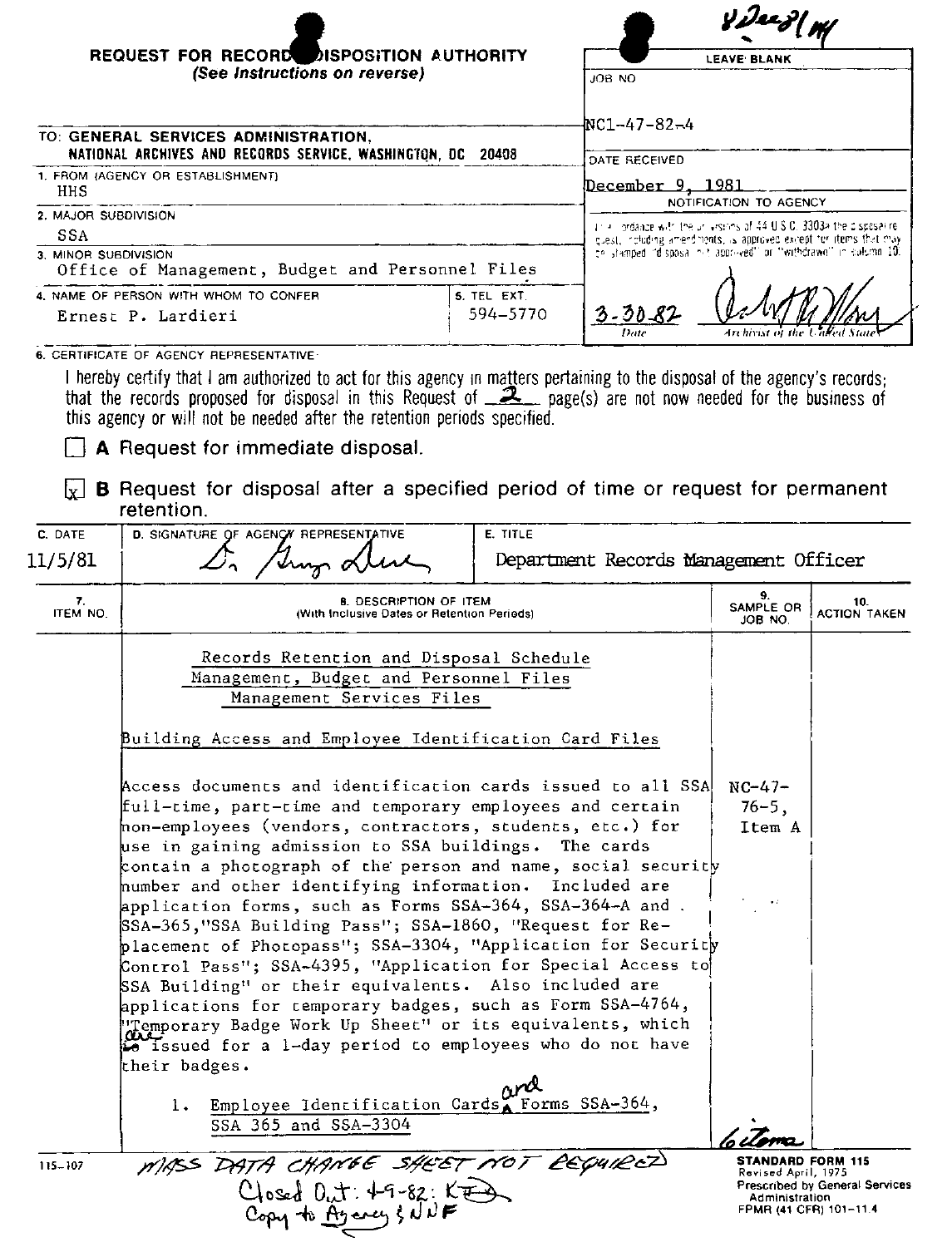|                                                                                        |                                                                                                                                                                                                                                                                                                                                  |                                       | <b>Yi<sup>Jee</sup>j</b> W                                                                                                                   |                            |  |
|----------------------------------------------------------------------------------------|----------------------------------------------------------------------------------------------------------------------------------------------------------------------------------------------------------------------------------------------------------------------------------------------------------------------------------|---------------------------------------|----------------------------------------------------------------------------------------------------------------------------------------------|----------------------------|--|
|                                                                                        | <b>REQUEST FOR RECORD DISPOSITION AUTHORITY</b><br>(See Instructions on reverse)                                                                                                                                                                                                                                                 |                                       | <b>LEAVE BLANK</b>                                                                                                                           |                            |  |
|                                                                                        |                                                                                                                                                                                                                                                                                                                                  | JOB NO                                |                                                                                                                                              |                            |  |
|                                                                                        |                                                                                                                                                                                                                                                                                                                                  | NC1-47-82-4                           |                                                                                                                                              |                            |  |
|                                                                                        | TO: GENERAL SERVICES ADMINISTRATION,                                                                                                                                                                                                                                                                                             |                                       |                                                                                                                                              |                            |  |
|                                                                                        | NATIONAL ARCHIVES AND RECORDS SERVICE. WASHINGTON, DC 20408                                                                                                                                                                                                                                                                      |                                       | DATE RECEIVED                                                                                                                                |                            |  |
| 1. FROM (AGENCY OR ESTABLISHMENT)<br>HHS                                               |                                                                                                                                                                                                                                                                                                                                  |                                       | <u>December 9, 1981</u>                                                                                                                      |                            |  |
| 2. MAJOR SUBDIVISION                                                                   |                                                                                                                                                                                                                                                                                                                                  |                                       | NOTIFICATION TO AGENCY                                                                                                                       |                            |  |
| SSA                                                                                    |                                                                                                                                                                                                                                                                                                                                  |                                       | this invidance with the universions of 44 U.S.C. 3303a the ciscosakre.<br>guest, including amendments, is approved except for items that may |                            |  |
| 3. MINOR SUBDIVISION                                                                   |                                                                                                                                                                                                                                                                                                                                  |                                       | ce stamped "disposal nit approved" or "withdrawn" in culumn 10.                                                                              |                            |  |
|                                                                                        | Office of Management, Budget and Personnel Files                                                                                                                                                                                                                                                                                 |                                       |                                                                                                                                              |                            |  |
| 4. NAME OF PERSON WITH WHOM TO CONFER<br>5. TEL EXT.<br>594-5770<br>Ernest P. Lardieri |                                                                                                                                                                                                                                                                                                                                  | $3 - 30 - 87$                         |                                                                                                                                              |                            |  |
|                                                                                        |                                                                                                                                                                                                                                                                                                                                  |                                       |                                                                                                                                              |                            |  |
|                                                                                        | 6. CERTIFICATE OF AGENCY REPRESENTATIVE:                                                                                                                                                                                                                                                                                         |                                       |                                                                                                                                              |                            |  |
|                                                                                        | I hereby certify that I am authorized to act for this agency in matters pertaining to the disposal of the agency's records;<br>that the records proposed for disposal in this Request of $\mathbb{R}$ page(s) are not now needed for the business of<br>this agency or will not be needed after the retention periods specified. |                                       |                                                                                                                                              |                            |  |
|                                                                                        | <b>A</b> Request for immediate disposal.                                                                                                                                                                                                                                                                                         |                                       |                                                                                                                                              |                            |  |
| x                                                                                      | <b>B</b> Request for disposal after a specified period of time or request for permanent<br>retention.                                                                                                                                                                                                                            |                                       |                                                                                                                                              |                            |  |
| C DATE                                                                                 | D. SIGNATURE OF AGENCY REPRESENTATIVE                                                                                                                                                                                                                                                                                            | <b>E. TITLE</b>                       |                                                                                                                                              |                            |  |
| 11/5/81                                                                                | Trup of                                                                                                                                                                                                                                                                                                                          | Department Records Management Officer |                                                                                                                                              |                            |  |
| 7.<br>ITEM NO                                                                          | <b>B. DESCRIPTION OF ITEM</b><br>(With Inclusive Dates or Retention Periods)                                                                                                                                                                                                                                                     |                                       | ۹<br>SAMPLE OR<br>JOB NO.                                                                                                                    | 10.<br><b>ACTION TAKEN</b> |  |
|                                                                                        | Records Retention and Disposal Schedule                                                                                                                                                                                                                                                                                          |                                       |                                                                                                                                              |                            |  |
|                                                                                        | Management, Budget and Personnel Files                                                                                                                                                                                                                                                                                           |                                       |                                                                                                                                              |                            |  |
|                                                                                        | Management Services Files                                                                                                                                                                                                                                                                                                        |                                       |                                                                                                                                              |                            |  |

| management betyles riles |  |
|--------------------------|--|
|                          |  |
|                          |  |

| SSA 365 and SSA-3304                            |                                                                                                                                                                                                                                                                                                                                                                                                                                                                                                                                                                                                                                 |                                                                                                                                                                                                                                                                                       |
|-------------------------------------------------|---------------------------------------------------------------------------------------------------------------------------------------------------------------------------------------------------------------------------------------------------------------------------------------------------------------------------------------------------------------------------------------------------------------------------------------------------------------------------------------------------------------------------------------------------------------------------------------------------------------------------------|---------------------------------------------------------------------------------------------------------------------------------------------------------------------------------------------------------------------------------------------------------------------------------------|
| 1. Employee Identification Cards Forms SSA-364, |                                                                                                                                                                                                                                                                                                                                                                                                                                                                                                                                                                                                                                 |                                                                                                                                                                                                                                                                                       |
|                                                 |                                                                                                                                                                                                                                                                                                                                                                                                                                                                                                                                                                                                                                 |                                                                                                                                                                                                                                                                                       |
|                                                 |                                                                                                                                                                                                                                                                                                                                                                                                                                                                                                                                                                                                                                 |                                                                                                                                                                                                                                                                                       |
|                                                 |                                                                                                                                                                                                                                                                                                                                                                                                                                                                                                                                                                                                                                 |                                                                                                                                                                                                                                                                                       |
|                                                 |                                                                                                                                                                                                                                                                                                                                                                                                                                                                                                                                                                                                                                 |                                                                                                                                                                                                                                                                                       |
|                                                 |                                                                                                                                                                                                                                                                                                                                                                                                                                                                                                                                                                                                                                 |                                                                                                                                                                                                                                                                                       |
|                                                 |                                                                                                                                                                                                                                                                                                                                                                                                                                                                                                                                                                                                                                 |                                                                                                                                                                                                                                                                                       |
|                                                 |                                                                                                                                                                                                                                                                                                                                                                                                                                                                                                                                                                                                                                 |                                                                                                                                                                                                                                                                                       |
|                                                 |                                                                                                                                                                                                                                                                                                                                                                                                                                                                                                                                                                                                                                 |                                                                                                                                                                                                                                                                                       |
|                                                 | Item A                                                                                                                                                                                                                                                                                                                                                                                                                                                                                                                                                                                                                          |                                                                                                                                                                                                                                                                                       |
|                                                 | $76 - 5.$                                                                                                                                                                                                                                                                                                                                                                                                                                                                                                                                                                                                                       |                                                                                                                                                                                                                                                                                       |
|                                                 | full-time, part-time and temporary employees and certain<br>non-employees (vendors, contractors, students, etc.) for<br>use in gaining admission to SSA buildings. The cards<br>humber and other identifying information. Included are<br>application forms, such as Forms SSA-364, SSA-364-A and.<br>SSA-365, "SSA Building Pass"; SSA-1860, "Request for Re-<br>SSA Building" or their equivalents. Also included are<br>applications for temporary badges, such as Form SSA-4764,<br>"Temporary Badge Work Up Sheet" or its equivalents, which<br>is issued for a 1-day period to employees who do not have<br>their badges. | Access documents and identification cards issued to all SSA<br>$NC-47-$<br>contain a photograph of the person and name, social security<br>$\bullet$ :<br>placement of Photopass"; SSA-3304, "Application for Security<br>Control Pass"; SSA-4395, "Application for Special Access to |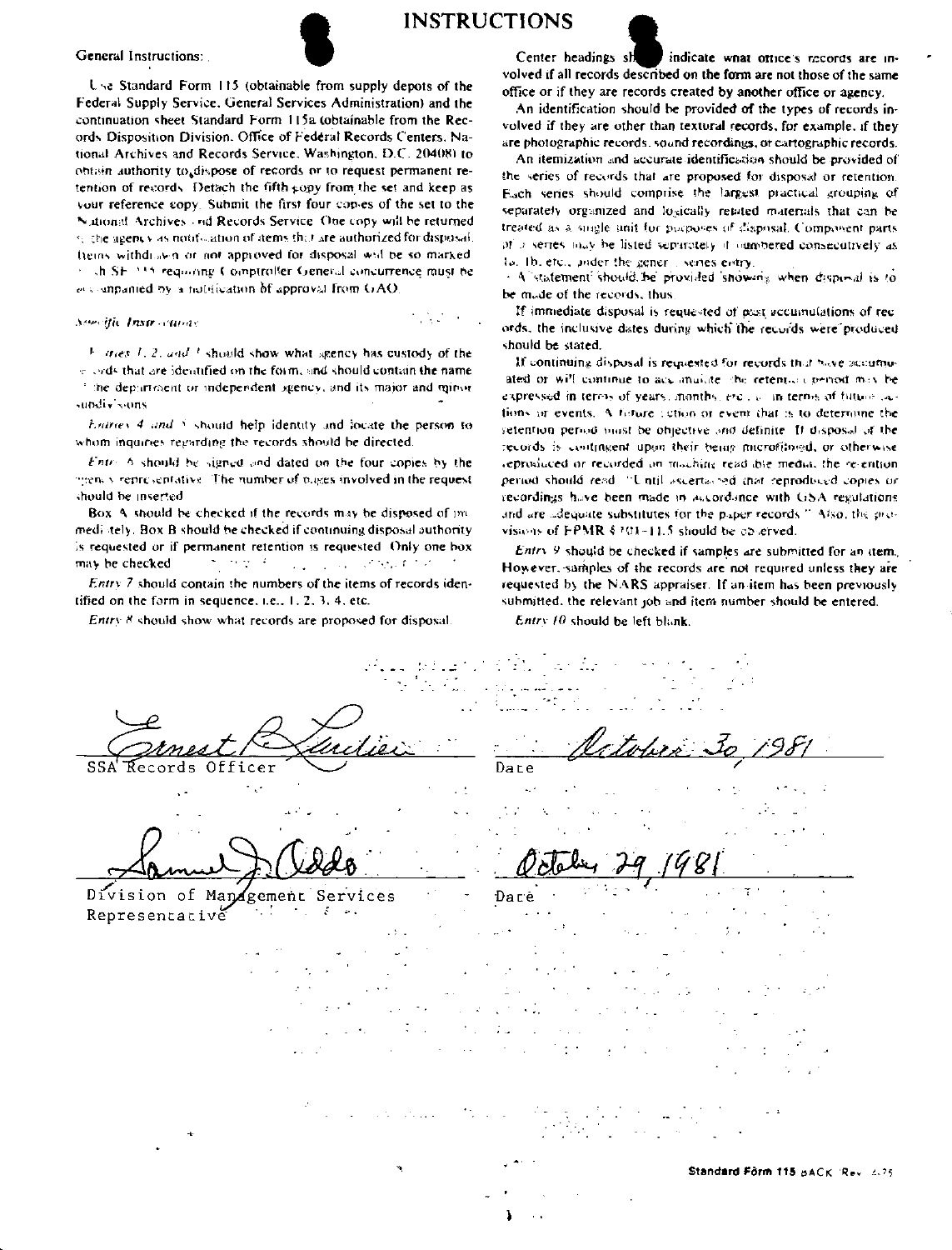General Instructions:

Somethe Instructurers

sundly some

should be inserted

may be checked.



Use Standard Form 115 (obtainable from supply depots of the

Federal Supply Service, General Services Administration) and the

continuation sheet Standard Form 115a (obtainable from the Rec-

ords Disposition Division. Office of Federal Records Centers. Na-

tional Archives and Records Service, Washington, D.C. 20408) to

obtain authority to dispose of records or to request permanent re-

tention of records. Detach the fifth copy from the set and keep as

your reference copy. Submit the first four copies of the set to the

Nutional Archives and Records Service. One copy will be returned

te the agency as notification of items that are authorized for disposal.

Items withdrawn or not approved for disposal will be so marked

of the SF 1315 requiring Comptroller General concurrence must be

 $\frac{1}{2}$  tries 1, 2, and 1 should show what agency has custody of the

e cyds that are identified on the form, and should contain the name

time department or independent sgency, and its major and minor

Entries 4 and 5 should help identity and locate the person to

Entry 6 should be signed and dated on the four copies by the

menty representative. The number of pages involved in the request

Box A should be checked if the records may be disposed of im-

mediately. Box B should be checked if continuing disposal authority

is requested or if permanent retention is requested. Only one box

Entry 7 should contain the numbers of the items of records iden-

 $\sum_{i=1}^n \mathcal{F}^i_{\mathcal{M}}(\mathcal{F}^i_{\mathcal{M}}(\mathcal{F}^i_{\mathcal{M}}(\mathcal{F}^i_{\mathcal{M}}(\mathcal{F}^i_{\mathcal{M}}(\mathcal{F}^i_{\mathcal{M}}(\mathcal{F}^i_{\mathcal{M}}(\mathcal{F}^i_{\mathcal{M}}(\mathcal{F}^i_{\mathcal{M}}(\mathcal{F}^i_{\mathcal{M}})))$ 

et companied by a notification of approval from GAO.

whom inquiries regarding the records should be directed.

**INSTRUCTIONS** 

**Contract** 



Center headings sh indicate what office's records are involved if all records described on the form are not those of the same office or if they are records created by another office or agency.

An identification should be provided of the types of records involved if they are other than textural records, for example, if they are photographic records, sound recordings, or cartographic records.

An itemization and accurate identification should be provided of the series of records that are proposed for disposal or retention. Each series should comprise the largest practical grouping of separately organized and logically retated materials that can be treated as a single unit for purposes of disposal. Composent parts of a series may be listed separately if immedeed consecutively as lo. Ib, etc., ander the gener is senes entry.

- A statement should be provided showing when disposal is to be made of the records, thus,

If immediate disposal is requested of past accumulations of rec ords, the inclusive dates during which the records were produced should be stated.

If continuing disposal is requested for records that have accumuated or will continue to accumulate the retention period may be expressed in terms of years, months, erc., a in terms of future cations or events. A foture retion or event that is to determine the setention period must be objective and definite. If disposal at the records is contingent upon their being microfilingd, or otherwise reproduced or recorded on maching read big media, the re-ention period should read. "Until ascertained that reproduced copies or recordings have been made in accordance with GSA regulations and are adequate substitutes for the paper records." Also, the provisions of FPMR § 101-11.5 should be concrved.

Entry 9 should be checked if samples are submitted for an item. However, samples of the records are not required unless they are requested by the NARS appraiser. If an item has been previously submitted, the relevant job and item number should be entered.

Entry 8 should show what records are proposed for disposal.

tified on the form in sequence, i.e., 1, 2, 3, 4, etc.

"Records Officer  $\sim$  1

Division of Management Services - 51 Representative

 $E$ ntry 10 should be left blank.

Dare

 $\cdot$ .

Dace  $\sim$  1. Guia.